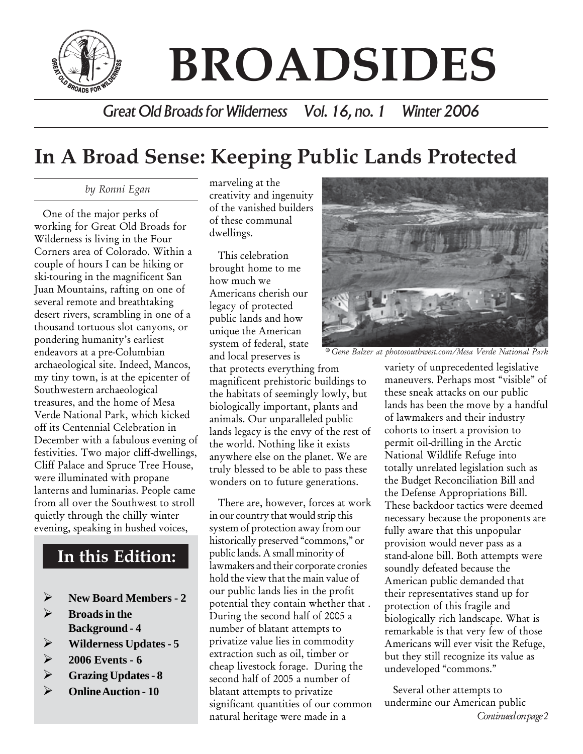

# **BROADSIDES**

*Great Old Broads for Wilderness Vol. 16, no. 1 Winter 2006*

### **In A Broad Sense: Keeping Public Lands Protected**

 *by Ronni Egan*

One of the major perks of working for Great Old Broads for Wilderness is living in the Four Corners area of Colorado. Within a couple of hours I can be hiking or ski-touring in the magnificent San Juan Mountains, rafting on one of several remote and breathtaking desert rivers, scrambling in one of a thousand tortuous slot canyons, or pondering humanity's earliest endeavors at a pre-Columbian archaeological site. Indeed, Mancos, my tiny town, is at the epicenter of Southwestern archaeological treasures, and the home of Mesa Verde National Park, which kicked off its Centennial Celebration in December with a fabulous evening of festivities. Two major cliff-dwellings, Cliff Palace and Spruce Tree House, were illuminated with propane lanterns and luminarias. People came from all over the Southwest to stroll quietly through the chilly winter evening, speaking in hushed voices,

#### **In this Edition:**

- ¾ **New Board Members 2**
- ¾ **Broads in the Background - 4**
- ¾ **Wilderness Updates 5**
- ¾ **2006 Events 6**
- ¾ **Grazing Updates 8**
- ¾ **Online Auction 10**

marveling at the creativity and ingenuity of the vanished builders of these communal dwellings.

This celebration brought home to me how much we Americans cherish our legacy of protected public lands and how unique the American system of federal, state and local preserves is

that protects everything from magnificent prehistoric buildings to the habitats of seemingly lowly, but biologically important, plants and animals. Our unparalleled public lands legacy is the envy of the rest of the world. Nothing like it exists anywhere else on the planet. We are truly blessed to be able to pass these wonders on to future generations.

There are, however, forces at work in our country that would strip this system of protection away from our historically preserved "commons," or public lands. A small minority of lawmakers and their corporate cronies hold the view that the main value of our public lands lies in the profit potential they contain whether that . During the second half of 2005 a number of blatant attempts to privatize value lies in commodity extraction such as oil, timber or cheap livestock forage. During the second half of 2005 a number of blatant attempts to privatize significant quantities of our common natural heritage were made in a



*© Gene Balzer at photosouthwest.com/Mesa Verde National Park*

variety of unprecedented legislative maneuvers. Perhaps most "visible" of these sneak attacks on our public lands has been the move by a handful of lawmakers and their industry cohorts to insert a provision to permit oil-drilling in the Arctic National Wildlife Refuge into totally unrelated legislation such as the Budget Reconciliation Bill and the Defense Appropriations Bill. These backdoor tactics were deemed necessary because the proponents are fully aware that this unpopular provision would never pass as a stand-alone bill. Both attempts were soundly defeated because the American public demanded that their representatives stand up for protection of this fragile and biologically rich landscape. What is remarkable is that very few of those Americans will ever visit the Refuge, but they still recognize its value as undeveloped "commons."

Several other attempts to undermine our American public *Continued on page 2*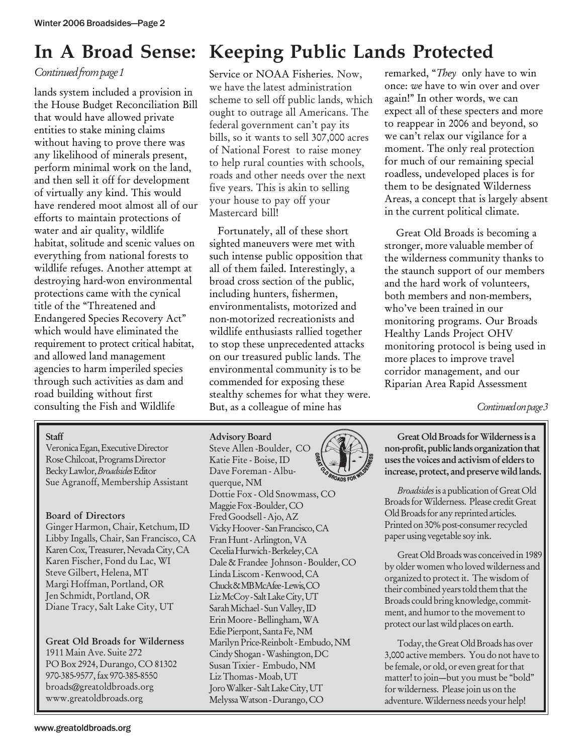#### *Continued from page 1*

lands system included a provision in the House Budget Reconciliation Bill that would have allowed private entities to stake mining claims without having to prove there was any likelihood of minerals present, perform minimal work on the land, and then sell it off for development of virtually any kind. This would have rendered moot almost all of our efforts to maintain protections of water and air quality, wildlife habitat, solitude and scenic values on everything from national forests to wildlife refuges. Another attempt at destroying hard-won environmental protections came with the cynical title of the "Threatened and Endangered Species Recovery Act" which would have eliminated the requirement to protect critical habitat, and allowed land management agencies to harm imperiled species through such activities as dam and road building without first consulting the Fish and Wildlife

#### **Staff**

Veronica Egan, Executive Director Rose Chilcoat, Programs Director Becky Lawlor, *Broadsides* Editor Sue Agranoff, Membership Assistant

#### Board of Directors

Ginger Harmon, Chair, Ketchum, ID Libby Ingalls, Chair, San Francisco, CA Karen Cox, Treasurer, Nevada City, CA Karen Fischer, Fond du Lac, WI Steve Gilbert, Helena, MT Margi Hoffman, Portland, OR Jen Schmidt, Portland, OR Diane Tracy, Salt Lake City, UT

#### Great Old Broads for Wilderness

1911 Main Ave. Suite 272 PO Box 2924, Durango, CO 81302 970-385-9577, fax 970-385-8550 broads@greatoldbroads.org www.greatoldbroads.org

### **In A Broad Sense: Keeping Public Lands Protected**

Service or NOAA Fisheries. Now, we have the latest administration scheme to sell off public lands, which ought to outrage all Americans. The federal government can't pay its bills, so it wants to sell 307,000 acres of National Forest to raise money to help rural counties with schools, roads and other needs over the next five years. This is akin to selling your house to pay off your Mastercard bill!

Fortunately, all of these short sighted maneuvers were met with such intense public opposition that all of them failed. Interestingly, a broad cross section of the public, including hunters, fishermen, environmentalists, motorized and non-motorized recreationists and wildlife enthusiasts rallied together to stop these unprecedented attacks on our treasured public lands. The environmental community is to be commended for exposing these stealthy schemes for what they were. But, as a colleague of mine has

Steve Allen -Boulder, CO Katie Fite - Boise, ID Dave Foreman - Albuquerque, NM Dottie Fox - Old Snowmass, CO Maggie Fox -Boulder, CO Fred Goodsell - Ajo, AZ Vicky Hoover - San Francisco, CA Fran Hunt - Arlington, VA Cecelia Hurwich - Berkeley, CA Dale & Frandee Johnson - Boulder, CO Linda Liscom - Kenwood, CA Chuck & MB McAfee - Lewis, CO Liz McCoy - Salt Lake City, UT Sarah Michael - Sun Valley, ID Erin Moore - Bellingham, WA Edie Pierpont, Santa Fe, NM Marilyn Price-Reinbolt - Embudo, NM Cindy Shogan - Washington, DC Susan Tixier - Embudo, NM Liz Thomas - Moab, UT Joro Walker - Salt Lake City, UT Melyssa Watson - Durango, CO

Advisory Board

remarked, "*They* only have to win once: *we* have to win over and over again!" In other words, we can expect all of these specters and more to reappear in 2006 and beyond, so we can't relax our vigilance for a moment. The only real protection for much of our remaining special roadless, undeveloped places is for them to be designated Wilderness Areas, a concept that is largely absent in the current political climate.

 Great Old Broads is becoming a stronger, more valuable member of the wilderness community thanks to the staunch support of our members and the hard work of volunteers, both members and non-members, who've been trained in our monitoring programs. Our Broads Healthy Lands Project OHV monitoring protocol is being used in more places to improve travel corridor management, and our Riparian Area Rapid Assessment

*Continued on page 3*

Great Old Broads for Wilderness is a non-profit, public lands organization that uses the voices and activism of elders to increase, protect, and preserve wild lands.

*Broadsides* is a publication of Great Old Broads for Wilderness. Please credit Great Old Broads for any reprinted articles. Printed on 30% post-consumer recycled paper using vegetable soy ink.

Great Old Broads was conceived in 1989 by older women who loved wilderness and organized to protect it. The wisdom of their combined years told them that the Broads could bring knowledge, commitment, and humor to the movement to protect our last wild places on earth.

Today, the Great Old Broads has over 3,000 active members. You do not have to be female, or old, or even great for that matter! to join—but you must be "bold" for wilderness. Please join us on the adventure. Wilderness needs your help!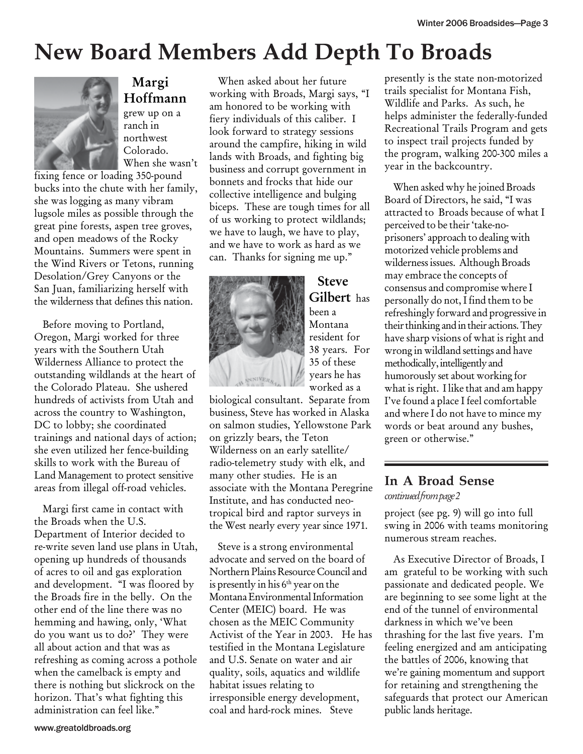### **New Board Members Add Depth To Broads**



### Margi Hoffmann

grew up on a ranch in northwest Colorado. When she wasn't

fixing fence or loading 350-pound bucks into the chute with her family, she was logging as many vibram lugsole miles as possible through the great pine forests, aspen tree groves, and open meadows of the Rocky Mountains. Summers were spent in the Wind Rivers or Tetons, running Desolation/Grey Canyons or the San Juan, familiarizing herself with the wilderness that defines this nation.

Before moving to Portland, Oregon, Margi worked for three years with the Southern Utah Wilderness Alliance to protect the outstanding wildlands at the heart of the Colorado Plateau. She ushered hundreds of activists from Utah and across the country to Washington, DC to lobby; she coordinated trainings and national days of action; she even utilized her fence-building skills to work with the Bureau of Land Management to protect sensitive areas from illegal off-road vehicles.

Margi first came in contact with the Broads when the U.S. Department of Interior decided to re-write seven land use plans in Utah, opening up hundreds of thousands of acres to oil and gas exploration and development. "I was floored by the Broads fire in the belly. On the other end of the line there was no hemming and hawing, only, 'What do you want us to do?' They were all about action and that was as refreshing as coming across a pothole when the camelback is empty and there is nothing but slickrock on the horizon. That's what fighting this administration can feel like."

When asked about her future working with Broads, Margi says, "I am honored to be working with fiery individuals of this caliber. I look forward to strategy sessions around the campfire, hiking in wild lands with Broads, and fighting big business and corrupt government in bonnets and frocks that hide our collective intelligence and bulging biceps. These are tough times for all of us working to protect wildlands; we have to laugh, we have to play, and we have to work as hard as we can. Thanks for signing me up."



Steve Gilbert has been a Montana resident for 38 years. For 35 of these years he has worked as a

biological consultant. Separate from business, Steve has worked in Alaska on salmon studies, Yellowstone Park on grizzly bears, the Teton Wilderness on an early satellite/ radio-telemetry study with elk, and many other studies. He is an associate with the Montana Peregrine Institute, and has conducted neotropical bird and raptor surveys in the West nearly every year since 1971.

Steve is a strong environmental advocate and served on the board of Northern Plains Resource Council and is presently in his  $6<sup>th</sup>$  year on the Montana Environmental Information Center (MEIC) board. He was chosen as the MEIC Community Activist of the Year in 2003. He has testified in the Montana Legislature and U.S. Senate on water and air quality, soils, aquatics and wildlife habitat issues relating to irresponsible energy development, coal and hard-rock mines. Steve

presently is the state non-motorized trails specialist for Montana Fish, Wildlife and Parks. As such, he helps administer the federally-funded Recreational Trails Program and gets to inspect trail projects funded by the program, walking 200-300 miles a year in the backcountry.

When asked why he joined Broads Board of Directors, he said, "I was attracted to Broads because of what I perceived to be their 'take-noprisoners' approach to dealing with motorized vehicle problems and wilderness issues. Although Broads may embrace the concepts of consensus and compromise where I personally do not, I find them to be refreshingly forward and progressive in their thinking and in their actions. They have sharp visions of what is right and wrong in wildland settings and have methodically, intelligently and humorously set about working for what is right. I like that and am happy I've found a place I feel comfortable and where I do not have to mince my words or beat around any bushes, green or otherwise."

### **In A Broad Sense**

*continued from page 2*

project (see pg. 9) will go into full swing in 2006 with teams monitoring numerous stream reaches.

As Executive Director of Broads, I am grateful to be working with such passionate and dedicated people. We are beginning to see some light at the end of the tunnel of environmental darkness in which we've been thrashing for the last five years. I'm feeling energized and am anticipating the battles of 2006, knowing that we're gaining momentum and support for retaining and strengthening the safeguards that protect our American public lands heritage.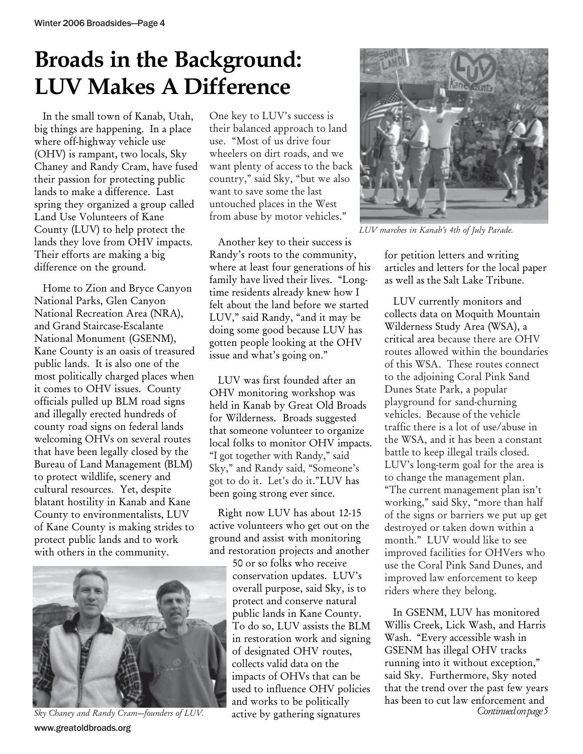# **Broads in the Background: LUV Makes A Difference**

In the small town of Kanab, Utah, big things are happening. In a place where off-highway vehicle use (OHV) is rampant, two locals, Sky Chaney and Randy Cram, have fused their passion for protecting public lands to make a difference. Last spring they organized a group called Land Use Volunteers of Kane County (LUV) to help protect the lands they love from OHV impacts. Their efforts are making a big difference on the ground.

Home to Zion and Bryce Canyon National Parks, Glen Canyon National Recreation Area (NRA), and Grand Staircase-Escalante National Monument (GSENM), Kane County is an oasis of treasured public lands. It is also one of the most politically charged places when it comes to OHV issues. County officials pulled up BLM road signs and illegally erected hundreds of county road signs on federal lands welcoming OHVs on several routes that have been legally closed by the Bureau of Land Management (BLM) to protect wildlife, scenery and cultural resources. Yet, despite blatant hostility in Kanab and Kane County to environmentalists, LUV of Kane County is making strides to protect public lands and to work with others in the community.



www.greatoldbroads.org Sky Chaney and Randy Cram-founders of LUV.

One key to LUV's success is their balanced approach to land use. "Most of us drive four wheelers on dirt roads, and we want plenty of access to the back country," said Sky, "but we also want to save some the last untouched places in the West from abuse by motor vehicles."

Another key to their success is Randy's roots to the community, where at least four generations of his family have lived their lives. "Longtime residents already knew how I felt about the land before we started LUV," said Randy, "and it may be doing some good because LUV has gotten people looking at the OHV issue and what's going on."

LUV was first founded after an OHV monitoring workshop was held in Kanab by Great Old Broads for Wilderness. Broads suggested that someone volunteer to organize local folks to monitor OHV impacts. "I got together with Randy," said Sky," and Randy said, "Someone's got to do it. Let's do it."LUV has been going strong ever since.

Right now LUV has about 12-15 active volunteers who get out on the ground and assist with monitoring and restoration projects and another

50 or so folks who receive conservation updates. LUV's overall purpose, said Sky, is to protect and conserve natural public lands in Kane County. To do so, LUV assists the BLM in restoration work and signing of designated OHV routes, collects valid data on the impacts of OHVs that can be used to influence OHV policies and works to be politically active by gathering signatures



*LUV marches in Kanab's 4th of July Parade.*

for petition letters and writing articles and letters for the local paper as well as the Salt Lake Tribune.

LUV currently monitors and collects data on Moquith Mountain Wilderness Study Area (WSA), a critical area because there are OHV routes allowed within the boundaries of this WSA. These routes connect to the adjoining Coral Pink Sand Dunes State Park, a popular playground for sand-churning vehicles. Because of the vehicle traffic there is a lot of use/abuse in the WSA, and it has been a constant battle to keep illegal trails closed. LUV's long-term goal for the area is to change the management plan. "The current management plan isn't working," said Sky, "more than half of the signs or barriers we put up get destroyed or taken down within a month." LUV would like to see improved facilities for OHVers who use the Coral Pink Sand Dunes, and improved law enforcement to keep riders where they belong.

In GSENM, LUV has monitored Willis Creek, Lick Wash, and Harris Wash. "Every accessible wash in GSENM has illegal OHV tracks running into it without exception," said Sky. Furthermore, Sky noted that the trend over the past few years has been to cut law enforcement and<br>Continued on page 5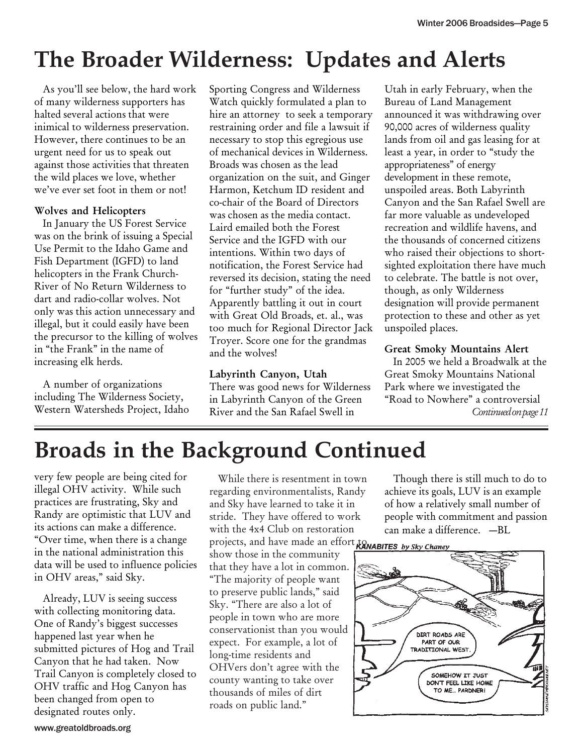# **The Broader Wilderness: Updates and Alerts**

As you'll see below, the hard work of many wilderness supporters has halted several actions that were inimical to wilderness preservation. However, there continues to be an urgent need for us to speak out against those activities that threaten the wild places we love, whether we've ever set foot in them or not!

#### Wolves and Helicopters

In January the US Forest Service was on the brink of issuing a Special Use Permit to the Idaho Game and Fish Department (IGFD) to land helicopters in the Frank Church-River of No Return Wilderness to dart and radio-collar wolves. Not only was this action unnecessary and illegal, but it could easily have been the precursor to the killing of wolves in "the Frank" in the name of increasing elk herds.

A number of organizations including The Wilderness Society, Western Watersheds Project, Idaho Sporting Congress and Wilderness Watch quickly formulated a plan to hire an attorney to seek a temporary restraining order and file a lawsuit if necessary to stop this egregious use of mechanical devices in Wilderness. Broads was chosen as the lead organization on the suit, and Ginger Harmon, Ketchum ID resident and co-chair of the Board of Directors was chosen as the media contact. Laird emailed both the Forest Service and the IGFD with our intentions. Within two days of notification, the Forest Service had reversed its decision, stating the need for "further study" of the idea. Apparently battling it out in court with Great Old Broads, et. al., was too much for Regional Director Jack Troyer. Score one for the grandmas and the wolves!

Labyrinth Canyon, Utah There was good news for Wilderness in Labyrinth Canyon of the Green River and the San Rafael Swell in

Utah in early February, when the Bureau of Land Management announced it was withdrawing over 90,000 acres of wilderness quality lands from oil and gas leasing for at least a year, in order to "study the appropriateness" of energy development in these remote, unspoiled areas. Both Labyrinth Canyon and the San Rafael Swell are far more valuable as undeveloped recreation and wildlife havens, and the thousands of concerned citizens who raised their objections to shortsighted exploitation there have much to celebrate. The battle is not over, though, as only Wilderness designation will provide permanent protection to these and other as yet unspoiled places.

#### Great Smoky Mountains Alert

*Continued on page 11* In 2005 we held a Broadwalk at the Great Smoky Mountains National Park where we investigated the "Road to Nowhere" a controversial

# **Broads in the Background Continued**

very few people are being cited for illegal OHV activity. While such practices are frustrating, Sky and Randy are optimistic that LUV and its actions can make a difference. "Over time, when there is a change in the national administration this data will be used to influence policies in OHV areas," said Sky.

Already, LUV is seeing success with collecting monitoring data. One of Randy's biggest successes happened last year when he submitted pictures of Hog and Trail Canyon that he had taken. Now Trail Canyon is completely closed to OHV traffic and Hog Canyon has been changed from open to designated routes only.

While there is resentment in town regarding environmentalists, Randy and Sky have learned to take it in stride. They have offered to work with the 4x4 Club on restoration projects, and have made an effort to RANABITES by Sky Change show those in the community

that they have a lot in common. "The majority of people want to preserve public lands," said Sky. "There are also a lot of people in town who are more conservationist than you would expect. For example, a lot of long-time residents and OHVers don't agree with the county wanting to take over thousands of miles of dirt roads on public land."

Though there is still much to do to achieve its goals, LUV is an example of how a relatively small number of people with commitment and passion can make a difference. —BL

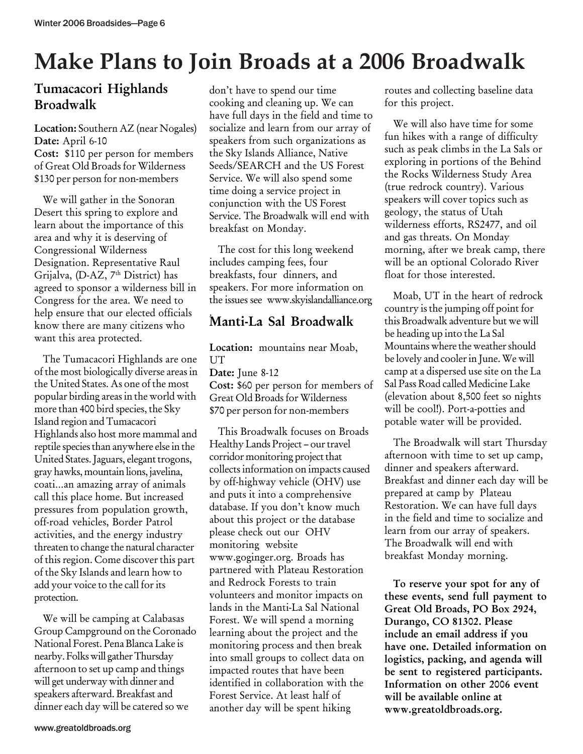# **Make Plans to Join Broads at a 2006 Broadwalk**

#### Tumacacori Highlands Broadwalk

Location: Southern AZ (near Nogales) Date: April 6-10 Cost: \$110 per person for members of Great Old Broads for Wilderness \$130 per person for non-members

We will gather in the Sonoran Desert this spring to explore and learn about the importance of this area and why it is deserving of Congressional Wilderness Designation. Representative Raul Grijalva, (D-AZ, 7<sup>th</sup> District) has agreed to sponsor a wilderness bill in Congress for the area. We need to help ensure that our elected officials know there are many citizens who want this area protected.

The Tumacacori Highlands are one of the most biologically diverse areas in the United States. As one of the most popular birding areas in the world with more than 400 bird species, the Sky Island region and Tumacacori Highlands also host more mammal and reptile species than anywhere else in the United States. Jaguars, elegant trogons, gray hawks, mountain lions, javelina, coati…an amazing array of animals call this place home. But increased pressures from population growth, off-road vehicles, Border Patrol activities, and the energy industry threaten to change the natural character of this region. Come discover this part of the Sky Islands and learn how to add your voice to the call for its protection.

We will be camping at Calabasas Group Campground on the Coronado National Forest. Pena Blanca Lake is nearby. Folks will gather Thursday afternoon to set up camp and things will get underway with dinner and speakers afterward. Breakfast and dinner each day will be catered so we

don't have to spend our time cooking and cleaning up. We can have full days in the field and time to socialize and learn from our array of speakers from such organizations as the Sky Islands Alliance, Native Seeds/SEARCH and the US Forest Service. We will also spend some time doing a service project in conjunction with the US Forest Service. The Broadwalk will end with breakfast on Monday.

The cost for this long weekend includes camping fees, four breakfasts, four dinners, and speakers. For more information on the issues see www.skyislandalliance.org

#### . Manti-La Sal Broadwalk

Location: mountains near Moab, UT Date: June 8-12 Cost: \$60 per person for members of Great Old Broads for Wilderness \$70 per person for non-members

This Broadwalk focuses on Broads Healthy Lands Project – our travel corridor monitoring project that collects information on impacts caused by off-highway vehicle (OHV) use and puts it into a comprehensive database. If you don't know much about this project or the database please check out our OHV monitoring website www.goginger.org. Broads has partnered with Plateau Restoration and Redrock Forests to train volunteers and monitor impacts on lands in the Manti-La Sal National Forest. We will spend a morning learning about the project and the monitoring process and then break into small groups to collect data on impacted routes that have been identified in collaboration with the Forest Service. At least half of another day will be spent hiking

routes and collecting baseline data for this project.

We will also have time for some fun hikes with a range of difficulty such as peak climbs in the La Sals or exploring in portions of the Behind the Rocks Wilderness Study Area (true redrock country). Various speakers will cover topics such as geology, the status of Utah wilderness efforts, RS2477, and oil and gas threats. On Monday morning, after we break camp, there will be an optional Colorado River float for those interested.

Moab, UT in the heart of redrock country is the jumping off point for this Broadwalk adventure but we will be heading up into the La Sal Mountains where the weather should be lovely and cooler in June. We will camp at a dispersed use site on the La Sal Pass Road called Medicine Lake (elevation about 8,500 feet so nights will be cool!). Port-a-potties and potable water will be provided.

The Broadwalk will start Thursday afternoon with time to set up camp, dinner and speakers afterward. Breakfast and dinner each day will be prepared at camp by Plateau Restoration. We can have full days in the field and time to socialize and learn from our array of speakers. The Broadwalk will end with breakfast Monday morning.

To reserve your spot for any of these events, send full payment to Great Old Broads, PO Box 2924, Durango, CO 81302. Please include an email address if you have one. Detailed information on logistics, packing, and agenda will be sent to registered participants. Information on other 2006 event will be available online at www.greatoldbroads.org.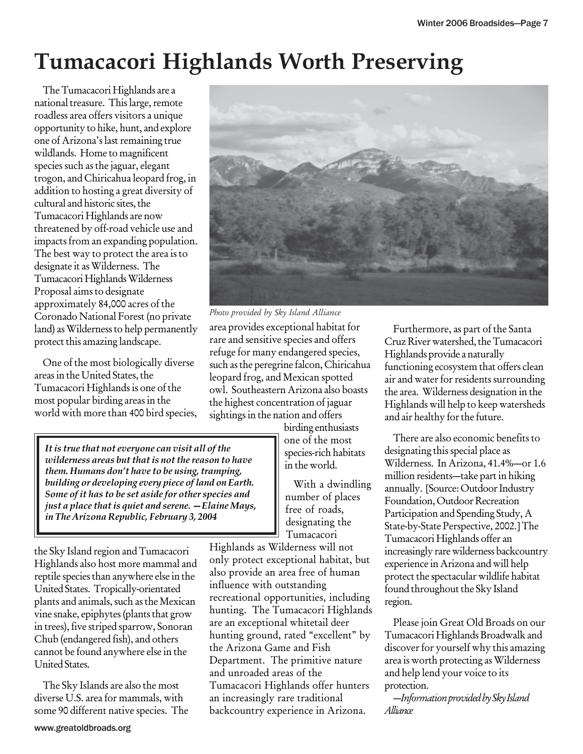# **Tumacacori Highlands Worth Preserving**

The Tumacacori Highlands are a national treasure. This large, remote roadless area offers visitors a unique opportunity to hike, hunt, and explore one of Arizona's last remaining true wildlands. Home to magnificent species such as the jaguar, elegant trogon, and Chiricahua leopard frog, in addition to hosting a great diversity of cultural and historic sites, the Tumacacori Highlands are now threatened by off-road vehicle use and impacts from an expanding population. The best way to protect the area is to designate it as Wilderness. The Tumacacori Highlands Wilderness Proposal aims to designate approximately 84,000 acres of the Coronado National Forest (no private land) as Wilderness to help permanently protect this amazing landscape.

One of the most biologically diverse areas in the United States, the Tumacacori Highlands is one of the most popular birding areas in the world with more than 400 bird species,



*Photo provided by Sky Island Alliance*

area provides exceptional habitat for rare and sensitive species and offers refuge for many endangered species, such as the peregrine falcon, Chiricahua leopard frog, and Mexican spotted owl. Southeastern Arizona also boasts the highest concentration of jaguar sightings in the nation and offers

*It is true that not everyone can visit all of the wilderness areas but that is not the reason to have them. Humans don't have to be using, tramping, building or developing every piece of land on Earth. Some of it has to be set aside for other species and just a place that is quiet and serene. —Elaine Mays, in The Arizona Republic, February 3, 2004*

the Sky Island region and Tumacacori Highlands also host more mammal and reptile species than anywhere else in the United States. Tropically-orientated plants and animals, such as the Mexican vine snake, epiphytes (plants that grow in trees), five striped sparrow, Sonoran Chub (endangered fish), and others cannot be found anywhere else in the United States.

The Sky Islands are also the most diverse U.S. area for mammals, with some 90 different native species. The birding enthusiasts one of the most species-rich habitats in the world.

With a dwindling number of places free of roads, designating the Tumacacori

Highlands as Wilderness will not only protect exceptional habitat, but also provide an area free of human influence with outstanding recreational opportunities, including hunting. The Tumacacori Highlands are an exceptional whitetail deer hunting ground, rated "excellent" by the Arizona Game and Fish Department. The primitive nature and unroaded areas of the Tumacacori Highlands offer hunters an increasingly rare traditional backcountry experience in Arizona.

Furthermore, as part of the Santa Cruz River watershed, the Tumacacori Highlands provide a naturally functioning ecosystem that offers clean air and water for residents surrounding the area. Wilderness designation in the Highlands will help to keep watersheds and air healthy for the future.

There are also economic benefits to designating this special place as Wilderness. In Arizona, 41.4%—or 1.6 million residents—take part in hiking annually. [Source: Outdoor Industry Foundation, Outdoor Recreation Participation and Spending Study, A State-by-State Perspective, 2002.] The Tumacacori Highlands offer an increasingly rare wilderness backcountry experience in Arizona and will help protect the spectacular wildlife habitat found throughout the Sky Island region.

Please join Great Old Broads on our Tumacacori Highlands Broadwalk and discover for yourself why this amazing area is worth protecting as Wilderness and help lend your voice to its protection.

*—Information provided by Sky Island Alliance*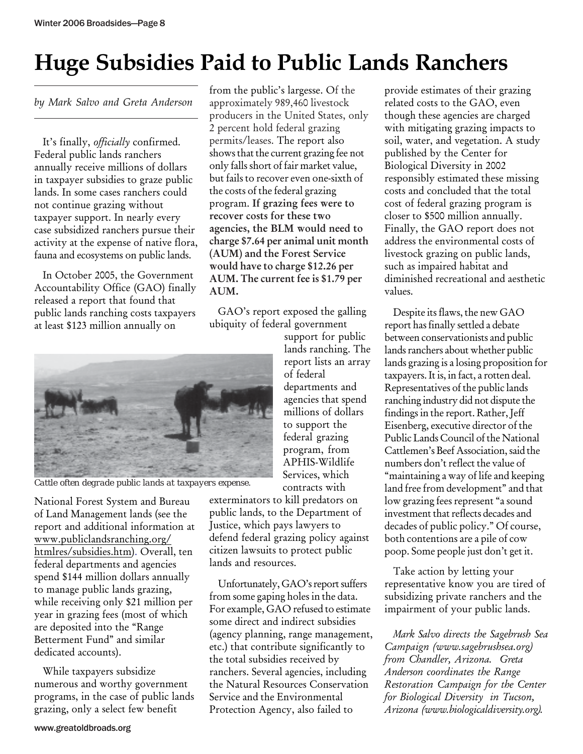# **Huge Subsidies Paid to Public Lands Ranchers**

*by Mark Salvo and Greta Anderson*

It's finally, *officially* confirmed. Federal public lands ranchers annually receive millions of dollars in taxpayer subsidies to graze public lands. In some cases ranchers could not continue grazing without taxpayer support. In nearly every case subsidized ranchers pursue their activity at the expense of native flora, fauna and ecosystems on public lands.

In October 2005, the Government Accountability Office (GAO) finally released a report that found that public lands ranching costs taxpayers at least \$123 million annually on

from the public's largesse. Of the approximately 989,460 livestock producers in the United States, only 2 percent hold federal grazing permits/leases. The report also shows that the current grazing fee not only falls short of fair market value, but fails to recover even one-sixth of the costs of the federal grazing program. If grazing fees were to recover costs for these two agencies, the BLM would need to charge \$7.64 per animal unit month (AUM) and the Forest Service would have to charge \$12.26 per AUM. The current fee is \$1.79 per AUM.

GAO's report exposed the galling ubiquity of federal government

> support for public lands ranching. The report lists an array

departments and agencies that spend millions of dollars to support the federal grazing program, from APHIS-Wildlife Services, which

of federal



*Cattle often degrade public lands at taxpayers expense.*

National Forest System and Bureau of Land Management lands (see the report and additional information at www.publiclandsranching.org/ htmlres/subsidies.htm). Overall, ten federal departments and agencies spend \$144 million dollars annually to manage public lands grazing, while receiving only \$21 million per year in grazing fees (most of which are deposited into the "Range Betterment Fund" and similar dedicated accounts).

While taxpayers subsidize numerous and worthy government programs, in the case of public lands grazing, only a select few benefit

contracts with exterminators to kill predators on public lands, to the Department of Justice, which pays lawyers to defend federal grazing policy against citizen lawsuits to protect public lands and resources.

Unfortunately, GAO's report suffers from some gaping holes in the data. For example, GAO refused to estimate some direct and indirect subsidies (agency planning, range management, etc.) that contribute significantly to the total subsidies received by ranchers. Several agencies, including the Natural Resources Conservation Service and the Environmental Protection Agency, also failed to

provide estimates of their grazing related costs to the GAO, even though these agencies are charged with mitigating grazing impacts to soil, water, and vegetation. A study published by the Center for Biological Diversity in 2002 responsibly estimated these missing costs and concluded that the total cost of federal grazing program is closer to \$500 million annually. Finally, the GAO report does not address the environmental costs of livestock grazing on public lands, such as impaired habitat and diminished recreational and aesthetic values.

Despite its flaws, the new GAO report has finally settled a debate between conservationists and public lands ranchers about whether public lands grazing is a losing proposition for taxpayers. It is, in fact, a rotten deal. Representatives of the public lands ranching industry did not dispute the findings in the report. Rather, Jeff Eisenberg, executive director of the Public Lands Council of the National Cattlemen's Beef Association, said the numbers don't reflect the value of "maintaining a way of life and keeping land free from development" and that low grazing fees represent "a sound investment that reflects decades and decades of public policy." Of course, both contentions are a pile of cow poop. Some people just don't get it.

Take action by letting your representative know you are tired of subsidizing private ranchers and the impairment of your public lands.

*Mark Salvo directs the Sagebrush Sea Campaign (www.sagebrushsea.org) from Chandler, Arizona. Greta Anderson coordinates the Range Restoration Campaign for the Center for Biological Diversity in Tucson, Arizona (www.biologicaldiversity.org).*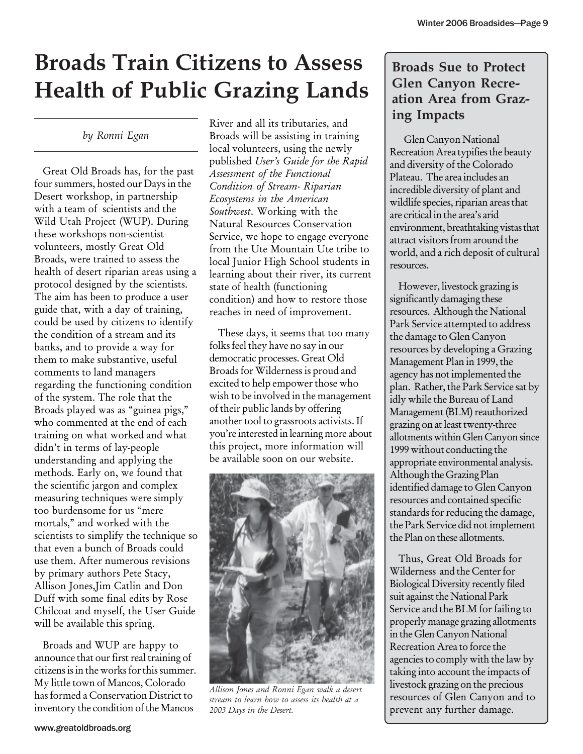# **Broads Train Citizens to Assess Health of Public Grazing Lands**

*by Ronni Egan*

Great Old Broads has, for the past four summers, hosted our Days in the Desert workshop, in partnership with a team of scientists and the Wild Utah Project (WUP). During these workshops non-scientist volunteers, mostly Great Old Broads, were trained to assess the health of desert riparian areas using a protocol designed by the scientists. The aim has been to produce a user guide that, with a day of training, could be used by citizens to identify the condition of a stream and its banks, and to provide a way for them to make substantive, useful comments to land managers regarding the functioning condition of the system. The role that the Broads played was as "guinea pigs," who commented at the end of each training on what worked and what didn't in terms of lay-people understanding and applying the methods. Early on, we found that the scientific jargon and complex measuring techniques were simply too burdensome for us "mere mortals," and worked with the scientists to simplify the technique so that even a bunch of Broads could use them. After numerous revisions by primary authors Pete Stacy, Allison Jones,Jim Catlin and Don Duff with some final edits by Rose Chilcoat and myself, the User Guide will be available this spring.

Broads and WUP are happy to announce that our first real training of citizens is in the works for this summer. My little town of Mancos, Colorado has formed a Conservation District to inventory the condition of the Mancos

River and all its tributaries, and Broads will be assisting in training local volunteers, using the newly published *User's Guide for the Rapid Assessment of the Functional Condition of Stream- Riparian Ecosystems in the American Southwest*. Working with the Natural Resources Conservation Service, we hope to engage everyone from the Ute Mountain Ute tribe to local Junior High School students in learning about their river, its current state of health (functioning condition) and how to restore those reaches in need of improvement.

These days, it seems that too many folks feel they have no say in our democratic processes. Great Old Broads for Wilderness is proud and excited to help empower those who wish to be involved in the management of their public lands by offering another tool to grassroots activists. If you're interested in learning more about this project, more information will be available soon on our website.



*Allison Jones and Ronni Egan walk a desert stream to learn how to assess its health at a 2003 Days in the Desert.*

#### **Broads Sue to Protect Glen Canyon Recreation Area from Grazing Impacts**

 Glen Canyon National Recreation Area typifies the beauty and diversity of the Colorado Plateau. The area includes an incredible diversity of plant and wildlife species, riparian areas that are critical in the area's arid environment, breathtaking vistas that attract visitors from around the world, and a rich deposit of cultural resources.

However, livestock grazing is significantly damaging these resources. Although the National Park Service attempted to address the damage to Glen Canyon resources by developing a Grazing Management Plan in 1999, the agency has not implemented the plan. Rather, the Park Service sat by idly while the Bureau of Land Management (BLM) reauthorized grazing on at least twenty-three allotments within Glen Canyon since 1999 without conducting the appropriate environmental analysis. Although the Grazing Plan identified damage to Glen Canyon resources and contained specific standards for reducing the damage, the Park Service did not implement the Plan on these allotments.

Thus, Great Old Broads for Wilderness and the Center for Biological Diversity recently filed suit against the National Park Service and the BLM for failing to properly manage grazing allotments in the Glen Canyon National Recreation Area to force the agencies to comply with the law by taking into account the impacts of livestock grazing on the precious resources of Glen Canyon and to prevent any further damage.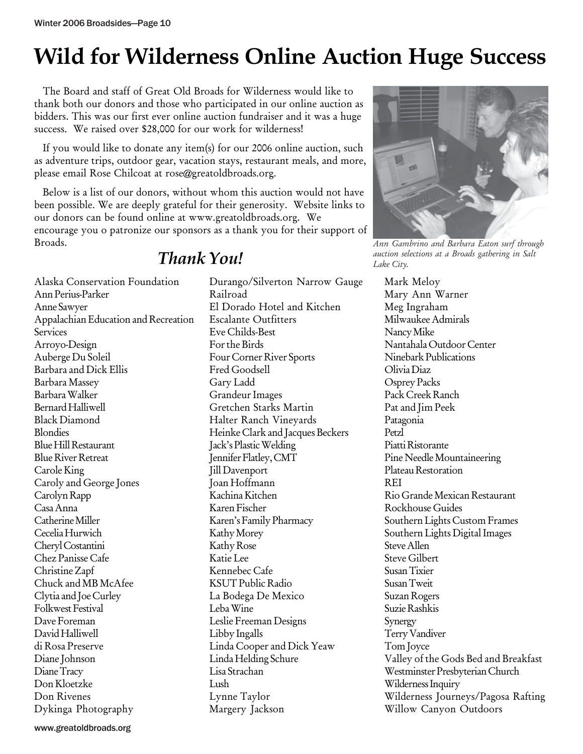### **Wild for Wilderness Online Auction Huge Success**

The Board and staff of Great Old Broads for Wilderness would like to thank both our donors and those who participated in our online auction as bidders. This was our first ever online auction fundraiser and it was a huge success. We raised over \$28,000 for our work for wilderness!

If you would like to donate any item(s) for our 2006 online auction, such as adventure trips, outdoor gear, vacation stays, restaurant meals, and more, please email Rose Chilcoat at rose@greatoldbroads.org.

Below is a list of our donors, without whom this auction would not have been possible. We are deeply grateful for their generosity. Website links to our donors can be found online at www.greatoldbroads.org. We encourage you o patronize our sponsors as a thank you for their support of Broads.



*Ann Gambrino and Barbara Eaton surf through auction selections at a Broads gathering in Salt Lake City.*

Alaska Conservation Foundation Ann Perius-Parker Anne Sawyer Appalachian Education and Recreation **Services** Arroyo-Design Auberge Du Soleil Barbara and Dick Ellis Barbara Massey Barbara Walker Bernard Halliwell Black Diamond Blondies Blue Hill Restaurant Blue River Retreat Carole King Caroly and George Jones Carolyn Rapp Casa Anna Catherine Miller Cecelia Hurwich Cheryl Costantini Chez Panisse Cafe Christine Zapf Chuck and MB McAfee Clytia and Joe Curley Folkwest Festival Dave Foreman David Halliwell di Rosa Preserve Diane Johnson Diane Tracy Don Kloetzke Don Rivenes Dykinga Photography

### *Thank You!*

Durango/Silverton Narrow Gauge Railroad El Dorado Hotel and Kitchen Escalante Outfitters Eve Childs-Best For the Birds Four Corner River Sports Fred Goodsell Gary Ladd Grandeur Images Gretchen Starks Martin Halter Ranch Vineyards Heinke Clark and Jacques Beckers Jack's Plastic Welding Jennifer Flatley, CMT Jill Davenport Joan Hoffmann Kachina Kitchen Karen Fischer Karen's Family Pharmacy Kathy Morey Kathy Rose Katie Lee Kennebec Cafe KSUT Public Radio La Bodega De Mexico Leba Wine Leslie Freeman Designs Libby Ingalls Linda Cooper and Dick Yeaw Linda Helding Schure Lisa Strachan Lush Lynne Taylor Margery Jackson

Mark Meloy Mary Ann Warner Meg Ingraham Milwaukee Admirals Nancy Mike Nantahala Outdoor Center Ninebark Publications Olivia Diaz Osprey Packs Pack Creek Ranch Pat and Jim Peek Patagonia Petzl Piatti Ristorante Pine Needle Mountaineering Plateau Restoration REI Rio Grande Mexican Restaurant Rockhouse Guides Southern Lights Custom Frames Southern Lights Digital Images Steve Allen Steve Gilbert Susan Tixier Susan Tweit Suzan Rogers Suzie Rashkis Synergy Terry Vandiver Tom Joyce Valley of the Gods Bed and Breakfast Westminster Presbyterian Church Wilderness Inquiry Wilderness Journeys/Pagosa Rafting Willow Canyon Outdoors

www.greatoldbroads.org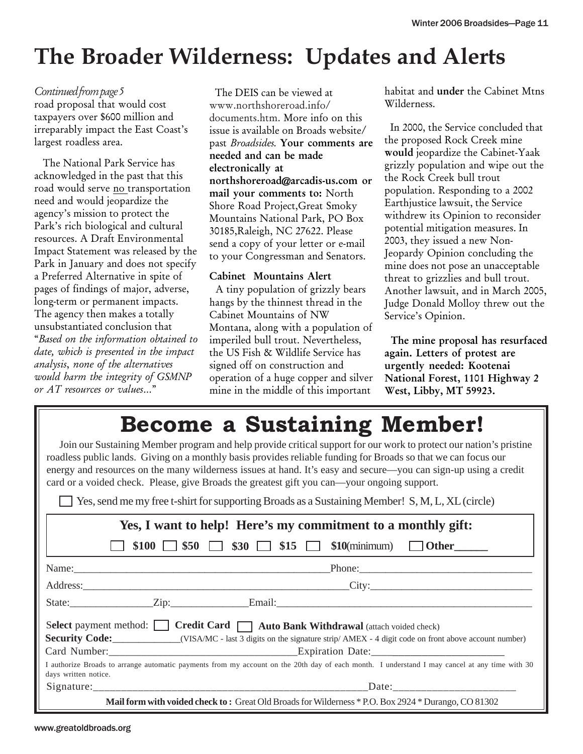### **The Broader Wilderness: Updates and Alerts**

*Continued from page 5* road proposal that would cost taxpayers over \$600 million and irreparably impact the East Coast's largest roadless area.

The National Park Service has acknowledged in the past that this road would serve no transportation need and would jeopardize the agency's mission to protect the Park's rich biological and cultural resources. A Draft Environmental Impact Statement was released by the Park in January and does not specify a Preferred Alternative in spite of pages of findings of major, adverse, long-term or permanent impacts. The agency then makes a totally unsubstantiated conclusion that "*Based on the information obtained to date, which is presented in the impact analysis*, *none of the alternatives would harm the integrity of GSMNP or AT resources or values*…"

 The DEIS can be viewed at www.northshoreroad.info/ documents.htm. More info on this issue is available on Broads website/ past *Broadsides.* Your comments are needed and can be made electronically at northshoreroad@arcadis-us.com or mail your comments to: North Shore Road Project,Great Smoky Mountains National Park, PO Box 30185,Raleigh, NC 27622. Please send a copy of your letter or e-mail to your Congressman and Senators.

#### Cabinet Mountains Alert

 A tiny population of grizzly bears hangs by the thinnest thread in the Cabinet Mountains of NW Montana, along with a population of imperiled bull trout. Nevertheless, the US Fish & Wildlife Service has signed off on construction and operation of a huge copper and silver mine in the middle of this important

habitat and under the Cabinet Mtns Wilderness.

 In 2000, the Service concluded that the proposed Rock Creek mine would jeopardize the Cabinet-Yaak grizzly population and wipe out the the Rock Creek bull trout population. Responding to a 2002 Earthjustice lawsuit, the Service withdrew its Opinion to reconsider potential mitigation measures. In 2003, they issued a new Non-Jeopardy Opinion concluding the mine does not pose an unacceptable threat to grizzlies and bull trout. Another lawsuit, and in March 2005, Judge Donald Molloy threw out the Service's Opinion.

 The mine proposal has resurfaced again. Letters of protest are urgently needed: Kootenai National Forest, 1101 Highway 2 West, Libby, MT 59923.

### **Become a Sustaining Member!**

Join our Sustaining Member program and help provide critical support for our work to protect our nation's pristine roadless public lands. Giving on a monthly basis provides reliable funding for Broads so that we can focus our energy and resources on the many wilderness issues at hand. It's easy and secure—you can sign-up using a credit card or a voided check. Please, give Broads the greatest gift you can—your ongoing support.

Yes, send me my free t-shirt for supporting Broads as a Sustaining Member! S, M, L, XL (circle)

| Yes, I want to help! Here's my commitment to a monthly gift:                                                                                                          |  |  |  |  |  |  |
|-----------------------------------------------------------------------------------------------------------------------------------------------------------------------|--|--|--|--|--|--|
| \$100 $\Box$ \$50 $\Box$ \$30 $\Box$ \$15 $\Box$ \$10(minimum) $\Box$ Other                                                                                           |  |  |  |  |  |  |
|                                                                                                                                                                       |  |  |  |  |  |  |
|                                                                                                                                                                       |  |  |  |  |  |  |
|                                                                                                                                                                       |  |  |  |  |  |  |
| Select payment method: Credit Card   Auto Bank Withdrawal (attach voided check)                                                                                       |  |  |  |  |  |  |
| <b>Security Code:</b> _______________(VISA/MC - last 3 digits on the signature strip/ AMEX - 4 digit code on front above account number)                              |  |  |  |  |  |  |
|                                                                                                                                                                       |  |  |  |  |  |  |
| I authorize Broads to arrange automatic payments from my account on the 20th day of each month. I understand I may cancel at any time with 30<br>days written notice. |  |  |  |  |  |  |
|                                                                                                                                                                       |  |  |  |  |  |  |
| <b>Mail form with voided check to:</b> Great Old Broads for Wilderness * P.O. Box 2924 * Durango, CO 81302                                                            |  |  |  |  |  |  |